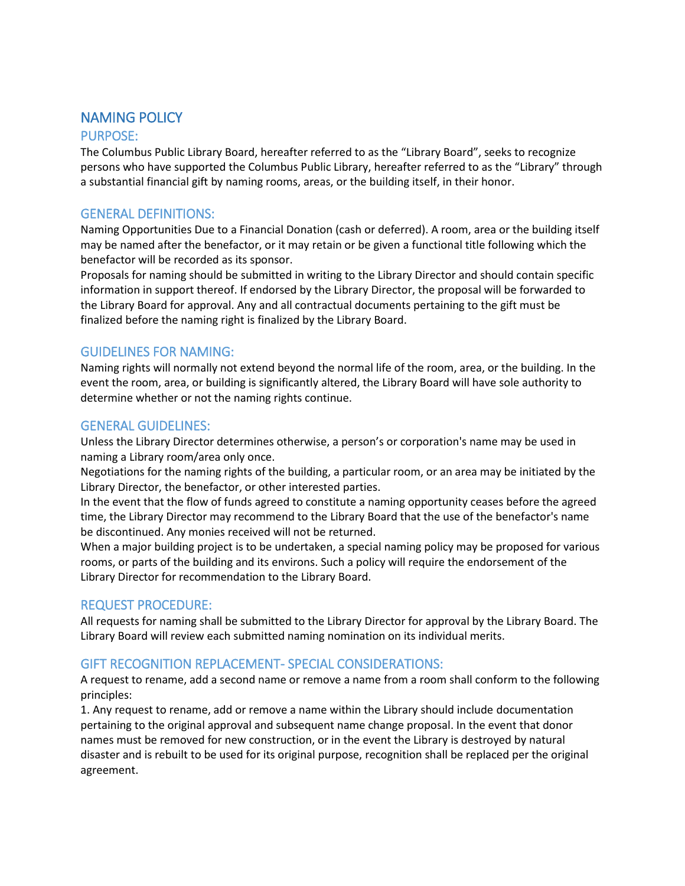# NAMING POLICY

#### PURPOSE:

The Columbus Public Library Board, hereafter referred to as the "Library Board", seeks to recognize persons who have supported the Columbus Public Library, hereafter referred to as the "Library" through a substantial financial gift by naming rooms, areas, or the building itself, in their honor.

### GENERAL DEFINITIONS:

Naming Opportunities Due to a Financial Donation (cash or deferred). A room, area or the building itself may be named after the benefactor, or it may retain or be given a functional title following which the benefactor will be recorded as its sponsor.

Proposals for naming should be submitted in writing to the Library Director and should contain specific information in support thereof. If endorsed by the Library Director, the proposal will be forwarded to the Library Board for approval. Any and all contractual documents pertaining to the gift must be finalized before the naming right is finalized by the Library Board.

#### GUIDELINES FOR NAMING:

Naming rights will normally not extend beyond the normal life of the room, area, or the building. In the event the room, area, or building is significantly altered, the Library Board will have sole authority to determine whether or not the naming rights continue.

#### GENERAL GUIDELINES:

Unless the Library Director determines otherwise, a person's or corporation's name may be used in naming a Library room/area only once.

Negotiations for the naming rights of the building, a particular room, or an area may be initiated by the Library Director, the benefactor, or other interested parties.

In the event that the flow of funds agreed to constitute a naming opportunity ceases before the agreed time, the Library Director may recommend to the Library Board that the use of the benefactor's name be discontinued. Any monies received will not be returned.

When a major building project is to be undertaken, a special naming policy may be proposed for various rooms, or parts of the building and its environs. Such a policy will require the endorsement of the Library Director for recommendation to the Library Board.

#### REQUEST PROCEDURE:

All requests for naming shall be submitted to the Library Director for approval by the Library Board. The Library Board will review each submitted naming nomination on its individual merits.

## GIFT RECOGNITION REPLACEMENT- SPECIAL CONSIDERATIONS:

A request to rename, add a second name or remove a name from a room shall conform to the following principles:

1. Any request to rename, add or remove a name within the Library should include documentation pertaining to the original approval and subsequent name change proposal. In the event that donor names must be removed for new construction, or in the event the Library is destroyed by natural disaster and is rebuilt to be used for its original purpose, recognition shall be replaced per the original agreement.